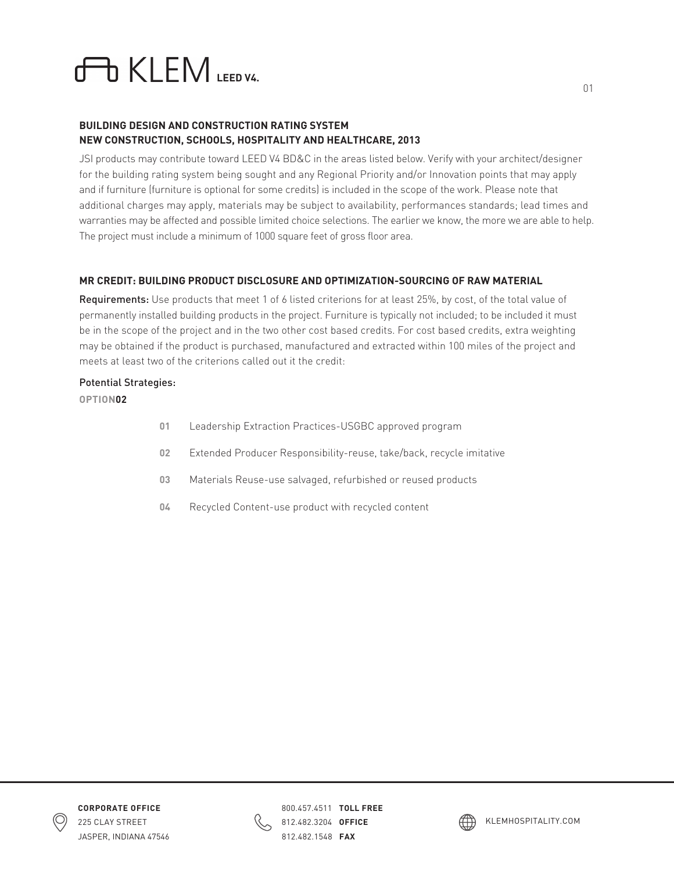# **LEM**

# **BUILDING DESIGN AND CONSTRUCTION RATING SYSTEM NEW CONSTRUCTION, SCHOOLS, HOSPITALITY AND HEALTHCARE, 2013**

JSI products may contribute toward LEED V4 BD&C in the areas listed below. Verify with your architect/designer for the building rating system being sought and any Regional Priority and/or Innovation points that may apply and if furniture (furniture is optional for some credits) is included in the scope of the work. Please note that additional charges may apply, materials may be subject to availability, performances standards; lead times and warranties may be affected and possible limited choice selections. The earlier we know, the more we are able to help. The project must include a minimum of 1000 square feet of gross floor area.

# **MR CREDIT: BUILDING PRODUCT DISCLOSURE AND OPTIMIZATION-SOURCING OF RAW MATERIAL**

Requirements: Use products that meet 1 of 6 listed criterions for at least 25%, by cost, of the total value of permanently installed building products in the project. Furniture is typically not included; to be included it must be in the scope of the project and in the two other cost based credits. For cost based credits, extra weighting may be obtained if the product is purchased, manufactured and extracted within 100 miles of the project and meets at least two of the criterions called out it the credit:

# Potential Strategies:

# **OPTION02**

- **01** Leadership Extraction Practices-USGBC approved program
- **02** Extended Producer Responsibility-reuse, take/back, recycle imitative
- **03** Materials Reuse-use salvaged, refurbished or reused products
- **04** Recycled Content-use product with recycled content





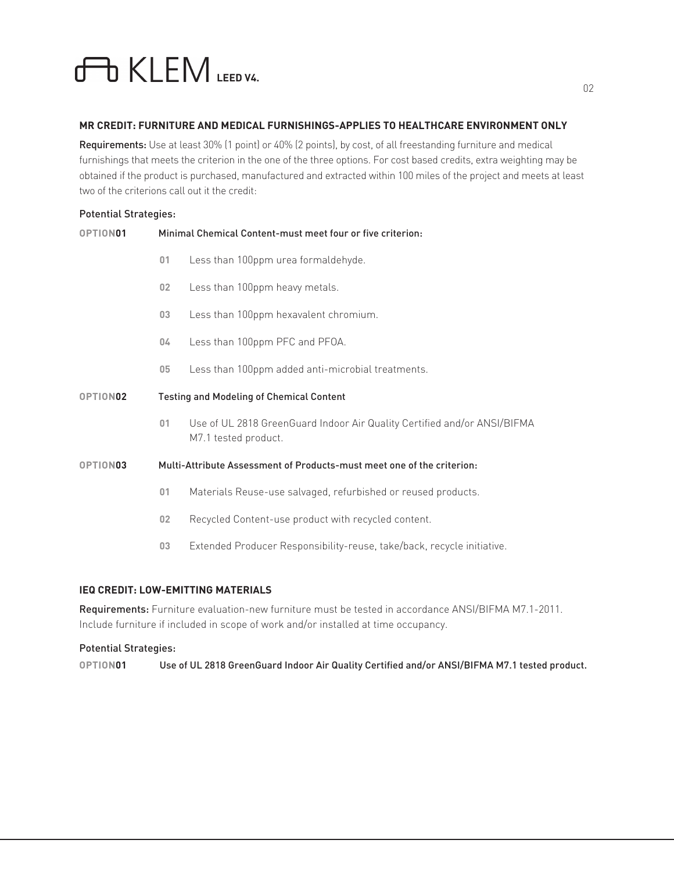# **LEM**

#### **MR CREDIT: FURNITURE AND MEDICAL FURNISHINGS-APPLIES TO HEALTHCARE ENVIRONMENT ONLY**

Requirements: Use at least 30% (1 point) or 40% (2 points), by cost, of all freestanding furniture and medical furnishings that meets the criterion in the one of the three options. For cost based credits, extra weighting may be obtained if the product is purchased, manufactured and extracted within 100 miles of the project and meets at least two of the criterions call out it the credit:

#### Potential Strategies:

| OPTION01             |                                                                        | Minimal Chemical Content-must meet four or five criterion:                                       |
|----------------------|------------------------------------------------------------------------|--------------------------------------------------------------------------------------------------|
|                      | 01                                                                     | Less than 100ppm urea formaldehyde.                                                              |
|                      | 02 <sub>2</sub>                                                        | Less than 100ppm heavy metals.                                                                   |
|                      | 03                                                                     | Less than 100ppm hexavalent chromium.                                                            |
|                      | 04                                                                     | Less than 100ppm PFC and PFOA.                                                                   |
|                      | 05                                                                     | Less than 100ppm added anti-microbial treatments.                                                |
| OPTION <sub>02</sub> | <b>Testing and Modeling of Chemical Content</b>                        |                                                                                                  |
|                      | 01                                                                     | Use of UL 2818 GreenGuard Indoor Air Quality Certified and/or ANSI/BIFMA<br>M7.1 tested product. |
| OPTION03             | Multi-Attribute Assessment of Products-must meet one of the criterion: |                                                                                                  |
|                      | 01                                                                     | Materials Reuse-use salvaged, refurbished or reused products.                                    |
|                      | 02                                                                     | Recycled Content-use product with recycled content.                                              |
|                      | 03                                                                     | Extended Producer Responsibility-reuse, take/back, recycle initiative.                           |
|                      |                                                                        |                                                                                                  |

# **IEQ CREDIT: LOW-EMITTING MATERIALS**

Requirements: Furniture evaluation-new furniture must be tested in accordance ANSI/BIFMA M7.1-2011. Include furniture if included in scope of work and/or installed at time occupancy.

#### Potential Strategies:

**OPTION01** Use of UL 2818 GreenGuard Indoor Air Quality Certified and/or ANSI/BIFMA M7.1 tested product.